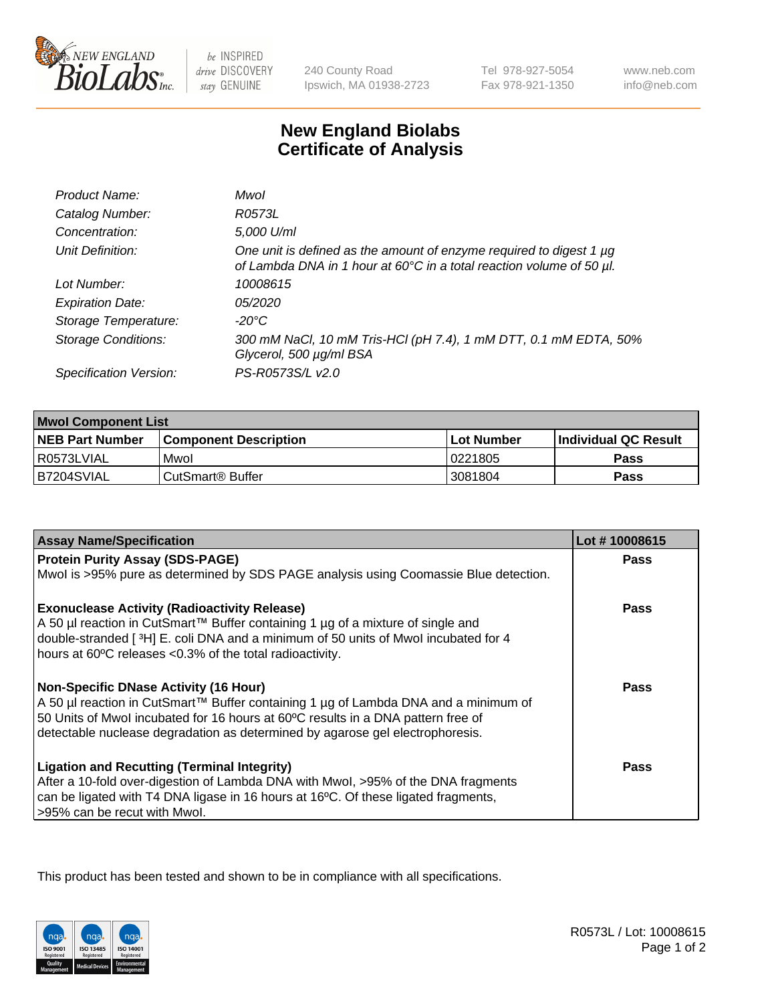

 $be$  INSPIRED drive DISCOVERY stay GENUINE

240 County Road Ipswich, MA 01938-2723 Tel 978-927-5054 Fax 978-921-1350

www.neb.com info@neb.com

## **New England Biolabs Certificate of Analysis**

| Product Name:              | Mwol                                                                                                                                             |
|----------------------------|--------------------------------------------------------------------------------------------------------------------------------------------------|
| Catalog Number:            | R0573L                                                                                                                                           |
| Concentration:             | 5,000 U/ml                                                                                                                                       |
| Unit Definition:           | One unit is defined as the amount of enzyme required to digest 1 $\mu$ g<br>of Lambda DNA in 1 hour at 60°C in a total reaction volume of 50 µl. |
| Lot Number:                | 10008615                                                                                                                                         |
| <b>Expiration Date:</b>    | 05/2020                                                                                                                                          |
| Storage Temperature:       | -20°C                                                                                                                                            |
| <b>Storage Conditions:</b> | 300 mM NaCl, 10 mM Tris-HCl (pH 7.4), 1 mM DTT, 0.1 mM EDTA, 50%<br>Glycerol, 500 µg/ml BSA                                                      |
| Specification Version:     | PS-R0573S/L v2.0                                                                                                                                 |

| <b>Mwol Component List</b> |                         |              |                             |  |
|----------------------------|-------------------------|--------------|-----------------------------|--|
| <b>NEB Part Number</b>     | l Component Description | l Lot Number | <b>Individual QC Result</b> |  |
| I R0573LVIAL               | Mwol                    | 10221805     | Pass                        |  |
| B7204SVIAL                 | l CutSmart® Buffer_     | 3081804      | Pass                        |  |

| <b>Assay Name/Specification</b>                                                      | Lot #10008615 |
|--------------------------------------------------------------------------------------|---------------|
| <b>Protein Purity Assay (SDS-PAGE)</b>                                               | <b>Pass</b>   |
| Mwol is >95% pure as determined by SDS PAGE analysis using Coomassie Blue detection. |               |
| <b>Exonuclease Activity (Radioactivity Release)</b>                                  | <b>Pass</b>   |
| A 50 µl reaction in CutSmart™ Buffer containing 1 µg of a mixture of single and      |               |
| double-stranded [3H] E. coli DNA and a minimum of 50 units of Mwol incubated for 4   |               |
| hours at 60°C releases <0.3% of the total radioactivity.                             |               |
| <b>Non-Specific DNase Activity (16 Hour)</b>                                         | <b>Pass</b>   |
| A 50 µl reaction in CutSmart™ Buffer containing 1 µg of Lambda DNA and a minimum of  |               |
| 50 Units of Mwol incubated for 16 hours at 60°C results in a DNA pattern free of     |               |
| detectable nuclease degradation as determined by agarose gel electrophoresis.        |               |
| <b>Ligation and Recutting (Terminal Integrity)</b>                                   | Pass          |
| After a 10-fold over-digestion of Lambda DNA with Mwol, >95% of the DNA fragments    |               |
| can be ligated with T4 DNA ligase in 16 hours at 16°C. Of these ligated fragments,   |               |
| >95% can be recut with Mwol.                                                         |               |

This product has been tested and shown to be in compliance with all specifications.